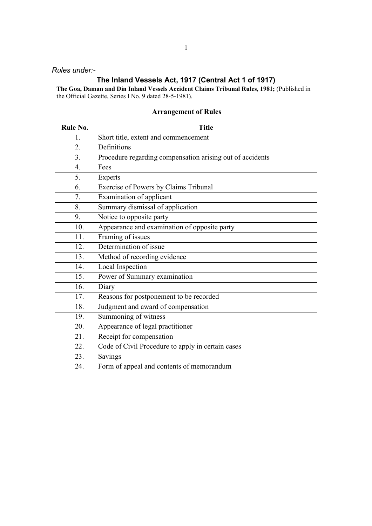### Rules under:-

# The Inland Vessels Act, 1917 (Central Act 1 of 1917)

The Goa, Daman and Din Inland Vessels Accident Claims Tribunal Rules, 1981; (Published in the Official Gazette, Series I No. 9 dated 28-5-1981).

# Arrangement of Rules

| Rule No. | <b>Title</b>                                              |
|----------|-----------------------------------------------------------|
| 1.       | Short title, extent and commencement                      |
| 2.       | Definitions                                               |
| 3.       | Procedure regarding compensation arising out of accidents |
| 4.       | Fees                                                      |
| 5.       | Experts                                                   |
| 6.       | Exercise of Powers by Claims Tribunal                     |
| 7.       | Examination of applicant                                  |
| 8.       | Summary dismissal of application                          |
| 9.       | Notice to opposite party                                  |
| 10.      | Appearance and examination of opposite party              |
| 11.      | Framing of issues                                         |
| 12.      | Determination of issue                                    |
| 13.      | Method of recording evidence                              |
| 14.      | Local Inspection                                          |
| 15.      | Power of Summary examination                              |
| 16.      | Diary                                                     |
| 17.      | Reasons for postponement to be recorded                   |
| 18.      | Judgment and award of compensation                        |
| 19.      | Summoning of witness                                      |
| 20.      | Appearance of legal practitioner                          |
| 21.      | Receipt for compensation                                  |
| 22.      | Code of Civil Procedure to apply in certain cases         |
| 23.      | Savings                                                   |
| 24.      | Form of appeal and contents of memorandum                 |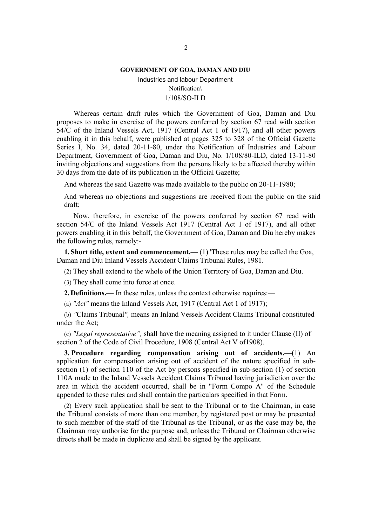#### GOVERNMENT OF GOA, DAMAN AND DIU

Industries and labour Department Notification\ 1/108/SO-ILD

Whereas certain draft rules which the Government of Goa, Daman and Diu proposes to make in exercise of the powers conferred by section 67 read with section 54/C of the Inland Vessels Act, 1917 (Central Act 1 of 1917), and all other powers enabling it in this behalf, were published at pages 325 to 328 of the Official Gazette Series I, No. 34, dated 20-11-80, under the Notification of Industries and Labour Department, Government of Goa, Daman and Diu, No. 1/108/80-ILD, dated 13-11-80 inviting objections and suggestions from the persons likely to be affected thereby within 30 days from the date of its publication in the Official Gazette;

And whereas the said Gazette was made available to the public on 20-11-1980;

And whereas no objections and suggestions are received from the public on the said draft;

Now, therefore, in exercise of the powers conferred by section 67 read with section 54/C of the Inland Vessels Act 1917 (Central Act 1 of 1917), and all other powers enabling it in this behalf, the Government of Goa, Daman and Diu hereby makes the following rules, namely:-

1. Short title, extent and commencement.— (1) 'These rules may be called the Goa, Daman and Diu Inland Vessels Accident Claims Tribunal Rules, 1981.

(2) They shall extend to the whole of the Union Territory of Goa, Daman and Diu.

(3) They shall come into force at once.

2.Definitions.— In these rules, unless the context otherwise requires:—

(a) "Act" means the Inland Vessels Act, 1917 (Central Act 1 of 1917);

(b) "Claims Tribunal", means an Inland Vessels Accident Claims Tribunal constituted under the Act;

(c) "Legal representative", shall have the meaning assigned to it under Clause (II) of section 2 of the Code of Civil Procedure, 1908 (Central Act V of1908).

3. Procedure regarding compensation arising out of accidents.—(1) An application for compensation arising out of accident of the nature specified in subsection (1) of section 110 of the Act by persons specified in sub-section (1) of section 110A made to the Inland Vessels Accident Claims Tribunal having jurisdiction over the area in which the accident occurred, shall be in "Form Compo A" of the Schedule appended to these rules and shall contain the particulars specified in that Form.

(2) Every such application shall be sent to the Tribunal or to the Chairman, in case the Tribunal consists of more than one member, by registered post or may be presented to such member of the staff of the Tribunal as the Tribunal, or as the case may be, the Chairman may authorise for the purpose and, unless the Tribunal or Chairman otherwise directs shall be made in duplicate and shall be signed by the applicant.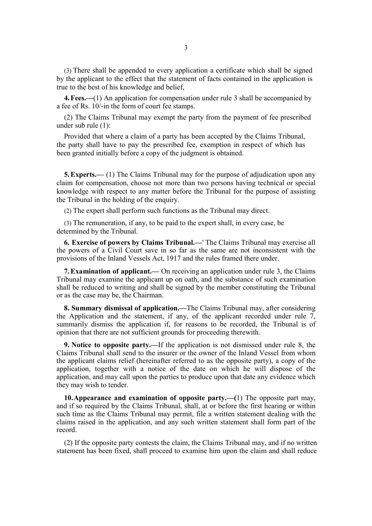(3) There shall be appended to every application a certificate which shall be signed by the applicant to the effect that the statement of facts contained in the application is true to the best of his knowledge and belief,

4.Fees.—(1) An application for compensation under rule 3 shall be accompanied by a fee of Rs. 10/-in the form of court fee stamps.

(2) The Claims Tribunal may exempt the party from the payment of fee prescribed under sub rule (1):

Provided that where a claim of a party has been accepted by the Claims Tribunal, the party shall have to pay the prescribed fee, exemption in respect of which has been granted initially before a copy of the judgment is obtained.

5.Experts.— (1) The Claims Tribunal may for the purpose of adjudication upon any claim for compensation, choose not more than two persons having technical or special knowledge with respect to any matter before the Tribunal for the purpose of assisting the Tribunal in the holding of the enquiry.

(2) The expert shall perform such functions as the Tribunal may direct.

(3) The remuneration, if any, to be paid to the expert shall, in every case, be determined by the Tribunal.

6. Exercise of powers by Claims Tribunal.—' The Claims Tribunal may exercise all the powers of a Civil Court save in so far as the same are not inconsistent with the provisions of the Inland Vessels Act, 1917 and the rules framed there under.

7.Examination of applicant.— On receiving an application under rule 3, the Claims Tribunal may examine the applicant up on oath, and the substance of such examination shall be reduced to writing and shall be signed by the member constituting the Tribunal or as the case may be, the Chairman.

8. Summary dismissal of application.—The Claims Tribunal may, after considering the Application and the statement, if any, of the applicant recorded under rule 7, summarily dismiss the application if, for reasons to be recorded, the Tribunal is of opinion that there are not sufficient grounds for proceeding therewith.

9. Notice to opposite party.—If the application is not dismissed under rule 8, the Claims Tribunal shall send to the insurer or the owner of the Inland Vessel from whom the applicant claims relief (hereinafter referred to as the opposite party), a copy of the application, together with a notice of the date on which he will dispose of the application, and may call upon the parties to produce upon that date any evidence which they may wish to tender.

**10. Appearance and examination of opposite party.**  $\left(-\frac{1}{1}\right)$  The opposite part may, and if so required by the Claims Tribunal, shall, at or before the first hearing or within such time as the Claims Tribunal may permit, file a written statement dealing with the claims raised in the application, and any such written statement shall form part of the record.

(2) If the opposite party contests the claim, the Claims Tribunal may, and if no written statement has been fixed, shall proceed to examine him upon the claim and shall reduce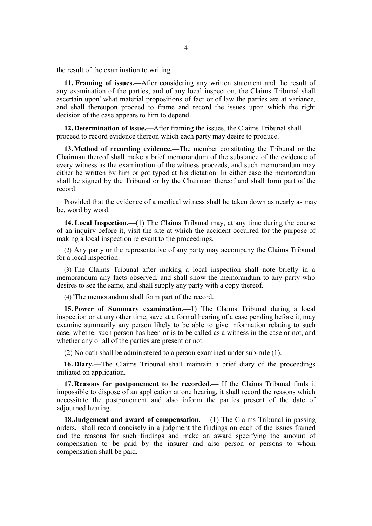the result of the examination to writing.

11. Framing of issues.—After considering any written statement and the result of any examination of the parties, and of any local inspection, the Claims Tribunal shall ascertain upon' what material propositions of fact or of law the parties are at variance, and shall thereupon proceed to frame and record the issues upon which the right decision of the case appears to him to depend.

12.Determination of issue.—After framing the issues, the Claims Tribunal shall proceed to record evidence thereon which each party may desire to produce.

13.Method of recording evidence.—The member constituting the Tribunal or the Chairman thereof shall make a brief memorandum of the substance of the evidence of every witness as the examination of the witness proceeds, and such memorandum may either be written by him or got typed at his dictation. In either case the memorandum shall be signed by the Tribunal or by the Chairman thereof and shall form part of the record.

Provided that the evidence of a medical witness shall be taken down as nearly as may be, word by word.

**14. Local Inspection.**—(1) The Claims Tribunal may, at any time during the course of an inquiry before it, visit the site at which the accident occurred for the purpose of making a local inspection relevant to the proceedings.

(2) Any party or the representative of any party may accompany the Claims Tribunal for a local inspection.

(3) The Claims Tribunal after making a local inspection shall note briefly in a memorandum any facts observed, and shall show the memorandum to any party who desires to see the same, and shall supply any party with a copy thereof.

(4) 'The memorandum shall form part of the record.

15.Power of Summary examination.—1) The Claims Tribunal during a local inspection or at any other time, save at a formal hearing of a case pending before it, may examine summarily any person likely to be able to give information relating to such case, whether such person has been or is to be called as a witness in the case or not, and whether any or all of the parties are present or not.

(2) No oath shall be administered to a person examined under sub-rule (1).

16. Diary.—The Claims Tribunal shall maintain a brief diary of the proceedings initiated on application.

17.Reasons for postponement to be recorded.— If the Claims Tribunal finds it impossible to dispose of an application at one hearing, it shall record the reasons which necessitate the postponement and also inform the parties present of the date of adjourned hearing.

18. Judgement and award of compensation.— (1) The Claims Tribunal in passing orders, shall record concisely in a judgment the findings on each of the issues framed and the reasons for such findings and make an award specifying the amount of compensation to be paid by the insurer and also person or persons to whom compensation shall be paid.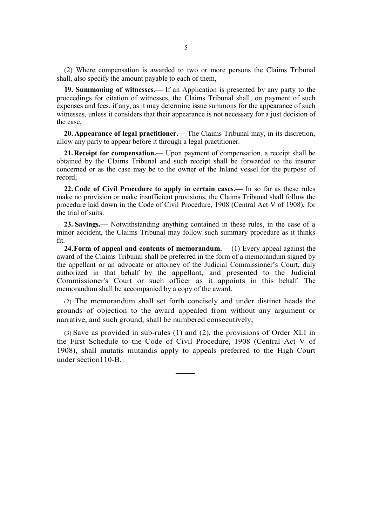(2) Where compensation is awarded to two or more persons the Claims Tribunal shall, also specify the amount payable to each of them,

19. Summoning of witnesses.— If an Application is presented by any party to the proceedings for citation of witnesses, the Claims Tribunal shall, on payment of such expenses and fees, if any, as it may determine issue summons for the appearance of such witnesses, unless it considers that their appearance is not necessary for a just decision of the case,

20. Appearance of legal practitioner.— The Claims Tribunal may, in its discretion, allow any party to appear before it through a legal practitioner.

21.Receipt for compensation.— Upon payment of compensation, a receipt shall be obtained by the Claims Tribunal and such receipt shall be forwarded to the insurer concerned or as the case may be to the owner of the Inland vessel for the purpose of record,

22. Code of Civil Procedure to apply in certain cases.— In so far as these rules make no provision or make insufficient provisions, the Claims Tribunal shall follow the procedure laid down in the Code of Civil Procedure, 1908 (Central Act V of 1908), for the trial of suits.

23. Savings.— Notwithstanding anything contained in these rules, in the case of a minor accident, the Claims Tribunal may follow such summary procedure as it thinks fit.

**24.Form of appeal and contents of memorandum.**— (1) Every appeal against the award of the Claims Tribunal shall be preferred in the form of a memorandum signed by the appellant or an advocate or attorney of the Judicial Commissioner's Court, duly authorized in that behalf by the appellant, and presented to the Judicial Commissioner's Court or such officer as it appoints in this behalf. The memorandum shall be accompanied by a copy of the award.

(2) The memorandum shall set forth concisely and under distinct heads the grounds of objection to the award appealed from without any argument or narrative, and such ground, shall be numbered consecutively;

(3) Save as provided in sub-rules (1) and (2), the provisions of Order XLI in the First Schedule to the Code of Civil Procedure, 1908 (Central Act V of 1908), shall mutatis mutandis apply to appeals preferred to the High Court under section110-B.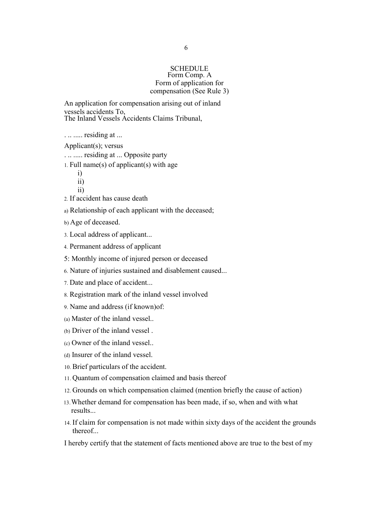## **SCHEDULE** Form Comp. A Form of application for compensation (See Rule 3)

An application for compensation arising out of inland vessels accidents To, The Inland Vessels Accidents Claims Tribunal,

. .. ..... residing at ...

Applicant(s); versus

. .. ..... residing at ... Opposite party

1. Full name(s) of applicant(s) with age

i) ii)

ii)

2. If accident has cause death

a) Relationship of each applicant with the deceased;

b) Age of deceased.

- 3. Local address of applicant...
- 4. Permanent address of applicant
- 5: Monthly income of injured person or deceased
- 6. Nature of injuries sustained and disablement caused...
- 7. Date and place of accident...
- 8. Registration mark of the inland vessel involved
- 9. Name and address (if known)of:
- (a) Master of the inland vessel..
- (b) Driver of the inland vessel .
- (c) Owner of the inland vessel..
- (d) Insurer of the inland vessel.
- 10. Brief particulars of the accident.
- 11. Quantum of compensation claimed and basis thereof
- 12. Grounds on which compensation claimed (mention briefly the cause of action)
- 13.Whether demand for compensation has been made, if so, when and with what results...
- 14. If claim for compensation is not made within sixty days of the accident the grounds thereof...
- I hereby certify that the statement of facts mentioned above are true to the best of my